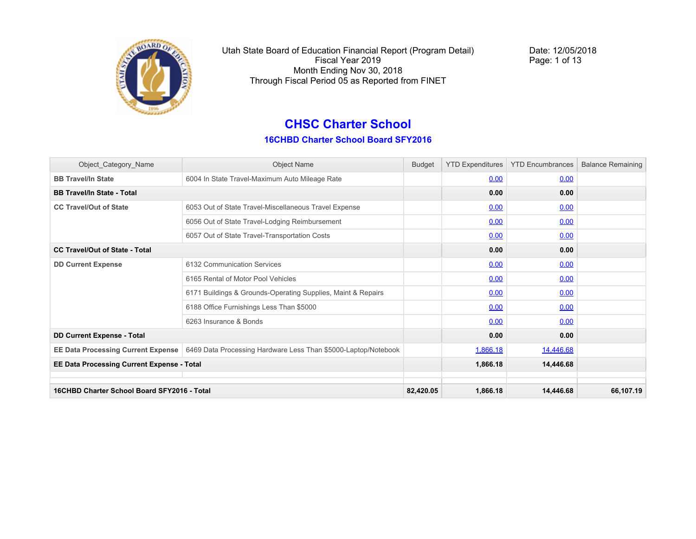

Date: 12/05/2018 Page: 1 of 13

### **CHSC Charter School 16CHBD Charter School Board SFY2016**

| Object_Category_Name                        | <b>Object Name</b>                                             | <b>Budget</b> | <b>YTD Expenditures</b> | <b>YTD Encumbrances</b> | <b>Balance Remaining</b> |
|---------------------------------------------|----------------------------------------------------------------|---------------|-------------------------|-------------------------|--------------------------|
| <b>BB Travel/In State</b>                   | 6004 In State Travel-Maximum Auto Mileage Rate                 |               | 0.00                    | 0.00                    |                          |
| <b>BB Travel/In State - Total</b>           |                                                                |               | 0.00                    | 0.00                    |                          |
| <b>CC Travel/Out of State</b>               | 6053 Out of State Travel-Miscellaneous Travel Expense          |               | 0.00                    | 0.00                    |                          |
|                                             | 6056 Out of State Travel-Lodging Reimbursement                 |               | 0.00                    | 0.00                    |                          |
|                                             | 6057 Out of State Travel-Transportation Costs                  |               | 0.00                    | 0.00                    |                          |
| <b>CC Travel/Out of State - Total</b>       |                                                                |               | 0.00                    | 0.00                    |                          |
| <b>DD Current Expense</b>                   | 6132 Communication Services                                    |               | 0.00                    | 0.00                    |                          |
|                                             | 6165 Rental of Motor Pool Vehicles                             |               | 0.00                    | 0.00                    |                          |
|                                             | 6171 Buildings & Grounds-Operating Supplies, Maint & Repairs   |               | 0.00                    | 0.00                    |                          |
|                                             | 6188 Office Furnishings Less Than \$5000                       |               | 0.00                    | 0.00                    |                          |
|                                             | 6263 Insurance & Bonds                                         |               | 0.00                    | 0.00                    |                          |
| <b>DD Current Expense - Total</b>           |                                                                |               | 0.00                    | 0.00                    |                          |
| <b>EE Data Processing Current Expense</b>   | 6469 Data Processing Hardware Less Than \$5000-Laptop/Notebook |               | 1,866.18                | 14,446.68               |                          |
| EE Data Processing Current Expense - Total  |                                                                |               | 1,866.18                | 14,446.68               |                          |
|                                             |                                                                |               |                         |                         |                          |
| 16CHBD Charter School Board SFY2016 - Total |                                                                | 82,420.05     | 1,866.18                | 14,446.68               | 66,107.19                |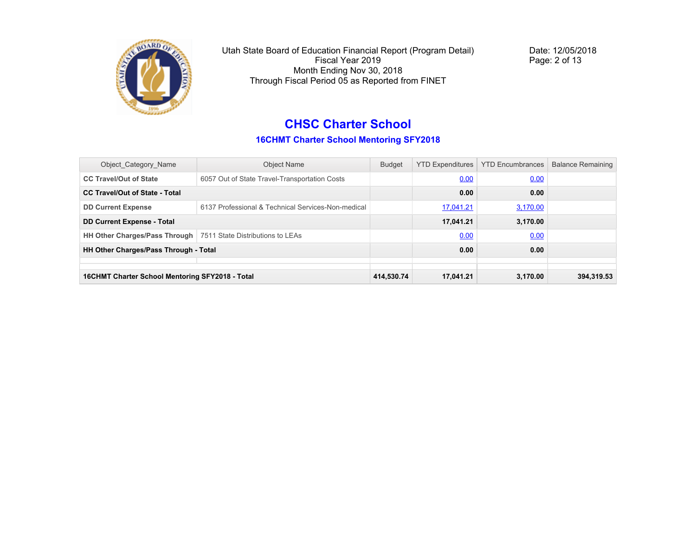

Date: 12/05/2018 Page: 2 of 13

# **CHSC Charter School**

**16CHMT Charter School Mentoring SFY2018**

| Object_Category_Name                                             | <b>Object Name</b>                                 | <b>Budget</b> | <b>YTD Expenditures</b> | <b>YTD Encumbrances</b> | <b>Balance Remaining</b> |
|------------------------------------------------------------------|----------------------------------------------------|---------------|-------------------------|-------------------------|--------------------------|
| <b>CC Travel/Out of State</b>                                    | 6057 Out of State Travel-Transportation Costs      |               | 0.00                    | 0.00                    |                          |
| <b>CC Travel/Out of State - Total</b>                            |                                                    |               | 0.00                    | 0.00                    |                          |
| <b>DD Current Expense</b>                                        | 6137 Professional & Technical Services-Non-medical |               | 17,041.21               | 3,170.00                |                          |
| <b>DD Current Expense - Total</b>                                |                                                    |               | 17,041.21               | 3.170.00                |                          |
| HH Other Charges/Pass Through   7511 State Distributions to LEAs |                                                    |               | 0.00                    | 0.00                    |                          |
| HH Other Charges/Pass Through - Total                            |                                                    |               | 0.00                    | 0.00                    |                          |
|                                                                  |                                                    |               |                         |                         |                          |
| 16CHMT Charter School Mentoring SFY2018 - Total                  |                                                    | 414.530.74    | 17,041.21               | 3.170.00                | 394.319.53               |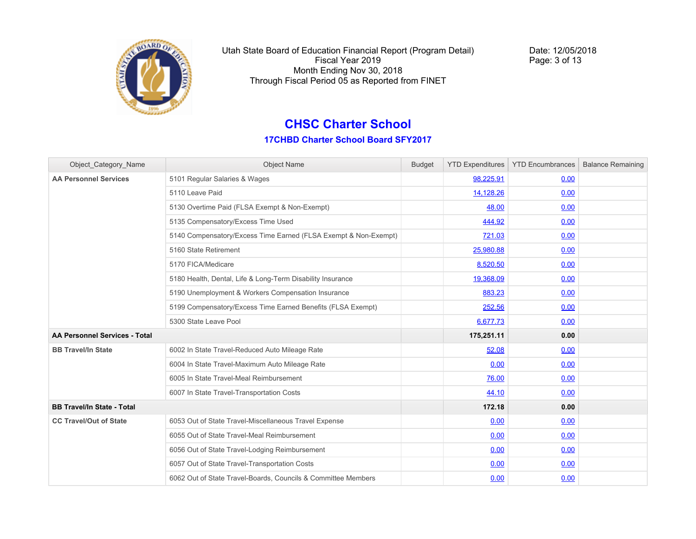

Date: 12/05/2018 Page: 3 of 13

### **CHSC Charter School**

| Object Category Name                 | <b>Object Name</b>                                              | <b>Budget</b> |            | YTD Expenditures   YTD Encumbrances | <b>Balance Remaining</b> |
|--------------------------------------|-----------------------------------------------------------------|---------------|------------|-------------------------------------|--------------------------|
| <b>AA Personnel Services</b>         | 5101 Regular Salaries & Wages                                   |               | 98,225.91  | 0.00                                |                          |
|                                      | 5110 Leave Paid                                                 |               | 14,128.26  | 0.00                                |                          |
|                                      | 5130 Overtime Paid (FLSA Exempt & Non-Exempt)                   |               | 48.00      | 0.00                                |                          |
|                                      | 5135 Compensatory/Excess Time Used                              |               | 444.92     | 0.00                                |                          |
|                                      | 5140 Compensatory/Excess Time Earned (FLSA Exempt & Non-Exempt) |               | 721.03     | 0.00                                |                          |
|                                      | 5160 State Retirement                                           |               | 25,980.88  | 0.00                                |                          |
|                                      | 5170 FICA/Medicare                                              |               | 8,520.50   | 0.00                                |                          |
|                                      | 5180 Health, Dental, Life & Long-Term Disability Insurance      |               | 19,368.09  | 0.00                                |                          |
|                                      | 5190 Unemployment & Workers Compensation Insurance              |               | 883.23     | 0.00                                |                          |
|                                      | 5199 Compensatory/Excess Time Earned Benefits (FLSA Exempt)     |               | 252.56     | 0.00                                |                          |
|                                      | 5300 State Leave Pool                                           |               | 6,677.73   | 0.00                                |                          |
| <b>AA Personnel Services - Total</b> |                                                                 |               | 175,251.11 | 0.00                                |                          |
| <b>BB Travel/In State</b>            | 6002 In State Travel-Reduced Auto Mileage Rate                  |               | 52.08      | 0.00                                |                          |
|                                      | 6004 In State Travel-Maximum Auto Mileage Rate                  |               | 0.00       | 0.00                                |                          |
|                                      | 6005 In State Travel-Meal Reimbursement                         |               | 76.00      | 0.00                                |                          |
|                                      | 6007 In State Travel-Transportation Costs                       |               | 44.10      | 0.00                                |                          |
| <b>BB Travel/In State - Total</b>    |                                                                 |               | 172.18     | 0.00                                |                          |
| <b>CC Travel/Out of State</b>        | 6053 Out of State Travel-Miscellaneous Travel Expense           |               | 0.00       | 0.00                                |                          |
|                                      | 6055 Out of State Travel-Meal Reimbursement                     |               | 0.00       | 0.00                                |                          |
|                                      | 6056 Out of State Travel-Lodging Reimbursement                  |               | 0.00       | 0.00                                |                          |
|                                      | 6057 Out of State Travel-Transportation Costs                   |               | 0.00       | 0.00                                |                          |
|                                      | 6062 Out of State Travel-Boards, Councils & Committee Members   |               | 0.00       | 0.00                                |                          |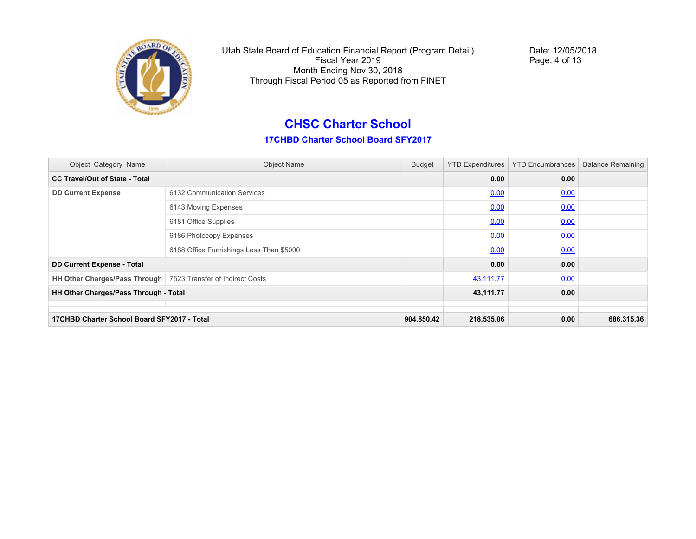

Date: 12/05/2018 Page: 4 of 13

### **CHSC Charter School**

| Object_Category_Name                                            | <b>Object Name</b>                       | <b>Budget</b> | <b>YTD Expenditures</b> | <b>YTD Encumbrances</b> | <b>Balance Remaining</b> |
|-----------------------------------------------------------------|------------------------------------------|---------------|-------------------------|-------------------------|--------------------------|
| <b>CC Travel/Out of State - Total</b>                           |                                          |               | 0.00                    | 0.00                    |                          |
| <b>DD Current Expense</b>                                       | 6132 Communication Services              |               | 0.00                    | 0.00                    |                          |
|                                                                 | 6143 Moving Expenses                     |               | 0.00                    | 0.00                    |                          |
|                                                                 | 6181 Office Supplies                     |               | 0.00                    | 0.00                    |                          |
|                                                                 | 6186 Photocopy Expenses                  |               | 0.00                    | 0.00                    |                          |
|                                                                 | 6188 Office Furnishings Less Than \$5000 |               | 0.00                    | 0.00                    |                          |
| <b>DD Current Expense - Total</b>                               |                                          |               | 0.00                    | 0.00                    |                          |
| HH Other Charges/Pass Through   7523 Transfer of Indirect Costs |                                          |               | 43,111.77               | 0.00                    |                          |
| HH Other Charges/Pass Through - Total                           |                                          |               | 43,111.77               | 0.00                    |                          |
|                                                                 |                                          |               |                         |                         |                          |
| 17CHBD Charter School Board SFY2017 - Total                     |                                          | 904,850.42    | 218,535.06              | 0.00                    | 686,315.36               |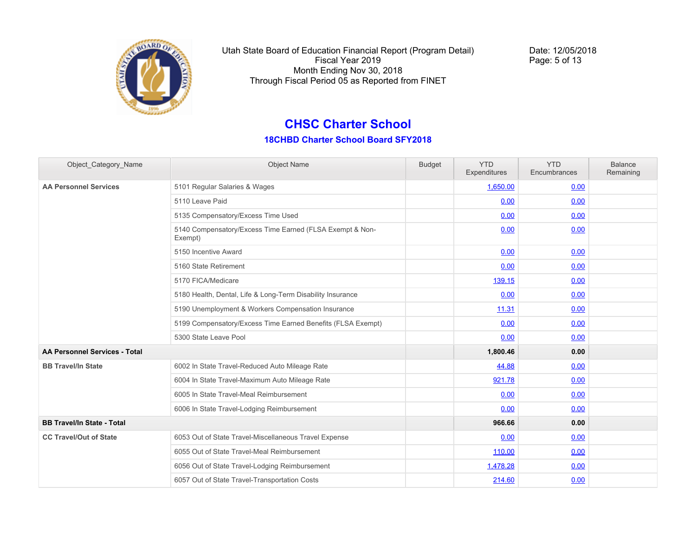

Date: 12/05/2018 Page: 5 of 13

## **CHSC Charter School**

| Object Category Name              | <b>Object Name</b>                                                  | <b>Budget</b> | <b>YTD</b><br>Expenditures | <b>YTD</b><br>Encumbrances | <b>Balance</b><br>Remaining |
|-----------------------------------|---------------------------------------------------------------------|---------------|----------------------------|----------------------------|-----------------------------|
| <b>AA Personnel Services</b>      | 5101 Regular Salaries & Wages                                       |               | 1,650.00                   | 0.00                       |                             |
|                                   | 5110 Leave Paid                                                     |               | 0.00                       | 0.00                       |                             |
|                                   | 5135 Compensatory/Excess Time Used                                  |               | 0.00                       | 0.00                       |                             |
|                                   | 5140 Compensatory/Excess Time Earned (FLSA Exempt & Non-<br>Exempt) |               | 0.00                       | 0.00                       |                             |
|                                   | 5150 Incentive Award                                                |               | 0.00                       | 0.00                       |                             |
|                                   | 5160 State Retirement                                               |               | 0.00                       | 0.00                       |                             |
|                                   | 5170 FICA/Medicare                                                  |               | 139.15                     | 0.00                       |                             |
|                                   | 5180 Health, Dental, Life & Long-Term Disability Insurance          |               | 0.00                       | 0.00                       |                             |
|                                   | 5190 Unemployment & Workers Compensation Insurance                  |               | 11.31                      | 0.00                       |                             |
|                                   | 5199 Compensatory/Excess Time Earned Benefits (FLSA Exempt)         |               | 0.00                       | 0.00                       |                             |
|                                   | 5300 State Leave Pool                                               |               | 0.00                       | 0.00                       |                             |
| AA Personnel Services - Total     |                                                                     |               | 1,800.46                   | 0.00                       |                             |
| <b>BB Travel/In State</b>         | 6002 In State Travel-Reduced Auto Mileage Rate                      |               | 44.88                      | 0.00                       |                             |
|                                   | 6004 In State Travel-Maximum Auto Mileage Rate                      |               | 921.78                     | 0.00                       |                             |
|                                   | 6005 In State Travel-Meal Reimbursement                             |               | 0.00                       | 0.00                       |                             |
|                                   | 6006 In State Travel-Lodging Reimbursement                          |               | 0.00                       | 0.00                       |                             |
| <b>BB Travel/In State - Total</b> |                                                                     |               | 966.66                     | 0.00                       |                             |
| <b>CC Travel/Out of State</b>     | 6053 Out of State Travel-Miscellaneous Travel Expense               |               | 0.00                       | 0.00                       |                             |
|                                   | 6055 Out of State Travel-Meal Reimbursement                         |               | 110.00                     | 0.00                       |                             |
|                                   | 6056 Out of State Travel-Lodging Reimbursement                      |               | 1,478.28                   | 0.00                       |                             |
|                                   | 6057 Out of State Travel-Transportation Costs                       |               | 214.60                     | 0.00                       |                             |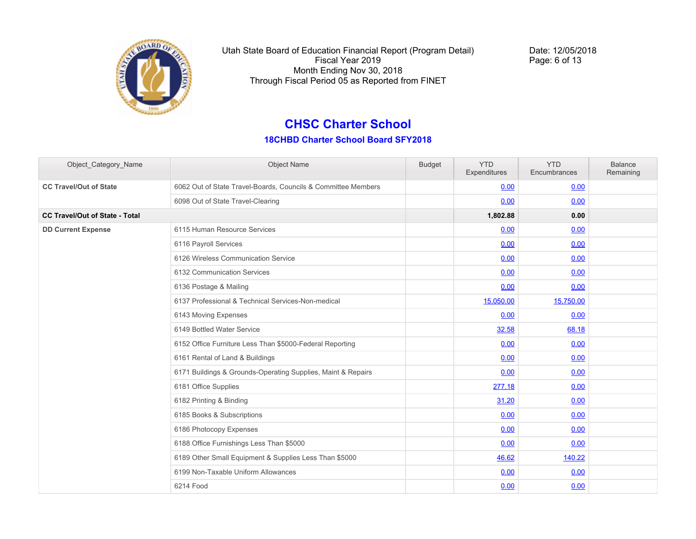

Date: 12/05/2018 Page: 6 of 13

### **CHSC Charter School**

| Object Category Name                  | <b>Object Name</b>                                            | <b>Budget</b> | <b>YTD</b><br>Expenditures | <b>YTD</b><br>Encumbrances | <b>Balance</b><br>Remaining |
|---------------------------------------|---------------------------------------------------------------|---------------|----------------------------|----------------------------|-----------------------------|
| <b>CC Travel/Out of State</b>         | 6062 Out of State Travel-Boards, Councils & Committee Members |               | 0.00                       | 0.00                       |                             |
|                                       | 6098 Out of State Travel-Clearing                             |               | 0.00                       | 0.00                       |                             |
| <b>CC Travel/Out of State - Total</b> |                                                               |               | 1,802.88                   | 0.00                       |                             |
| <b>DD Current Expense</b>             | 6115 Human Resource Services                                  |               | 0.00                       | 0.00                       |                             |
|                                       | 6116 Payroll Services                                         |               | 0.00                       | 0.00                       |                             |
|                                       | 6126 Wireless Communication Service                           |               | 0.00                       | 0.00                       |                             |
|                                       | 6132 Communication Services                                   |               | 0.00                       | 0.00                       |                             |
|                                       | 6136 Postage & Mailing                                        |               | 0.00                       | 0.00                       |                             |
|                                       | 6137 Professional & Technical Services-Non-medical            |               | 15,050.00                  | 15,750.00                  |                             |
|                                       | 6143 Moving Expenses                                          |               | 0.00                       | 0.00                       |                             |
|                                       | 6149 Bottled Water Service                                    |               | 32.58                      | 68.18                      |                             |
|                                       | 6152 Office Furniture Less Than \$5000-Federal Reporting      |               | 0.00                       | 0.00                       |                             |
|                                       | 6161 Rental of Land & Buildings                               |               | 0.00                       | 0.00                       |                             |
|                                       | 6171 Buildings & Grounds-Operating Supplies, Maint & Repairs  |               | 0.00                       | 0.00                       |                             |
|                                       | 6181 Office Supplies                                          |               | 277.18                     | 0.00                       |                             |
|                                       | 6182 Printing & Binding                                       |               | 31.20                      | 0.00                       |                             |
|                                       | 6185 Books & Subscriptions                                    |               | 0.00                       | 0.00                       |                             |
|                                       | 6186 Photocopy Expenses                                       |               | 0.00                       | 0.00                       |                             |
|                                       | 6188 Office Furnishings Less Than \$5000                      |               | 0.00                       | 0.00                       |                             |
|                                       | 6189 Other Small Equipment & Supplies Less Than \$5000        |               | 46.62                      | 140.22                     |                             |
|                                       | 6199 Non-Taxable Uniform Allowances                           |               | 0.00                       | 0.00                       |                             |
|                                       | 6214 Food                                                     |               | 0.00                       | 0.00                       |                             |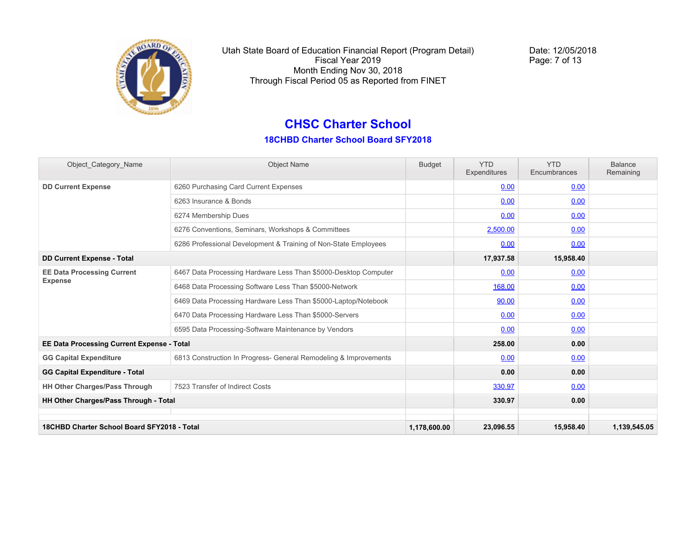

Date: 12/05/2018 Page: 7 of 13

### **CHSC Charter School**

| Object Category Name                              | <b>Object Name</b>                                               | <b>Budget</b> | <b>YTD</b><br>Expenditures | <b>YTD</b><br>Encumbrances | <b>Balance</b><br>Remaining |
|---------------------------------------------------|------------------------------------------------------------------|---------------|----------------------------|----------------------------|-----------------------------|
| <b>DD Current Expense</b>                         | 6260 Purchasing Card Current Expenses                            |               | 0.00                       | 0.00                       |                             |
|                                                   | 6263 Insurance & Bonds                                           |               | 0.00                       | 0.00                       |                             |
|                                                   | 6274 Membership Dues                                             |               | 0.00                       | 0.00                       |                             |
|                                                   | 6276 Conventions, Seminars, Workshops & Committees               |               | 2,500.00                   | 0.00                       |                             |
|                                                   | 6286 Professional Development & Training of Non-State Employees  |               | 0.00                       | 0.00                       |                             |
| <b>DD Current Expense - Total</b>                 |                                                                  |               | 17,937.58                  | 15,958.40                  |                             |
| <b>EE Data Processing Current</b>                 | 6467 Data Processing Hardware Less Than \$5000-Desktop Computer  |               | 0.00                       | 0.00                       |                             |
| <b>Expense</b>                                    | 6468 Data Processing Software Less Than \$5000-Network           |               | 168.00                     | 0.00                       |                             |
|                                                   | 6469 Data Processing Hardware Less Than \$5000-Laptop/Notebook   |               | 90.00                      | 0.00                       |                             |
|                                                   | 6470 Data Processing Hardware Less Than \$5000-Servers           |               | 0.00                       | 0.00                       |                             |
|                                                   | 6595 Data Processing-Software Maintenance by Vendors             |               | 0.00                       | 0.00                       |                             |
| <b>EE Data Processing Current Expense - Total</b> |                                                                  |               | 258.00                     | 0.00                       |                             |
| <b>GG Capital Expenditure</b>                     | 6813 Construction In Progress- General Remodeling & Improvements |               | 0.00                       | 0.00                       |                             |
| <b>GG Capital Expenditure - Total</b>             |                                                                  |               | 0.00                       | 0.00                       |                             |
| <b>HH Other Charges/Pass Through</b>              | 7523 Transfer of Indirect Costs                                  |               | 330.97                     | 0.00                       |                             |
| HH Other Charges/Pass Through - Total             |                                                                  |               | 330.97                     | 0.00                       |                             |
| 18CHBD Charter School Board SFY2018 - Total       |                                                                  | 1,178,600.00  | 23,096.55                  | 15.958.40                  | 1.139.545.05                |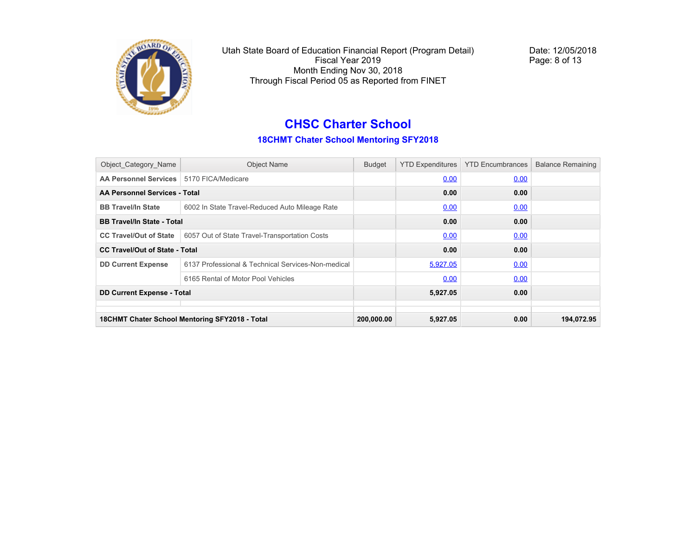

Date: 12/05/2018 Page: 8 of 13

# **CHSC Charter School**

#### **18CHMT Chater School Mentoring SFY2018**

| Object Category Name                  | <b>Object Name</b>                                 | <b>Budget</b> | <b>YTD Expenditures</b> | <b>YTD Encumbrances</b> | <b>Balance Remaining</b> |
|---------------------------------------|----------------------------------------------------|---------------|-------------------------|-------------------------|--------------------------|
| <b>AA Personnel Services</b>          | 5170 FICA/Medicare                                 |               | 0.00                    | 0.00                    |                          |
| AA Personnel Services - Total         |                                                    |               | 0.00                    | 0.00                    |                          |
| <b>BB Travel/In State</b>             | 6002 In State Travel-Reduced Auto Mileage Rate     |               | 0.00                    | 0.00                    |                          |
| <b>BB Travel/In State - Total</b>     |                                                    |               | 0.00                    | 0.00                    |                          |
| <b>CC Travel/Out of State</b>         | 6057 Out of State Travel-Transportation Costs      |               | 0.00                    | 0.00                    |                          |
| <b>CC Travel/Out of State - Total</b> |                                                    |               | 0.00                    | 0.00                    |                          |
| <b>DD Current Expense</b>             | 6137 Professional & Technical Services-Non-medical |               | 5,927.05                | 0.00                    |                          |
|                                       | 6165 Rental of Motor Pool Vehicles                 |               | 0.00                    | 0.00                    |                          |
| <b>DD Current Expense - Total</b>     |                                                    |               | 5,927.05                | 0.00                    |                          |
|                                       |                                                    |               |                         |                         |                          |
|                                       | 18CHMT Chater School Mentoring SFY2018 - Total     | 200,000.00    | 5,927.05                | 0.00                    | 194,072.95               |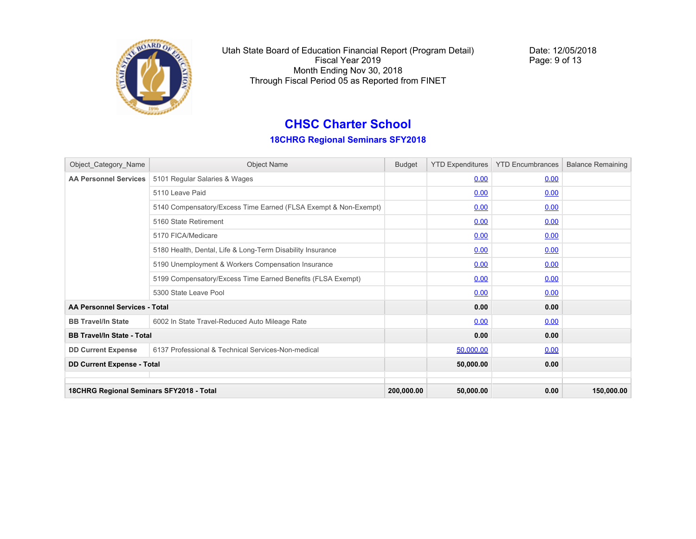

Date: 12/05/2018 Page: 9 of 13

# **CHSC Charter School**

#### **18CHRG Regional Seminars SFY2018**

| Object_Category_Name                     | <b>Object Name</b>                                              | <b>Budget</b> | <b>YTD Expenditures</b> | <b>YTD Encumbrances</b> | <b>Balance Remaining</b> |
|------------------------------------------|-----------------------------------------------------------------|---------------|-------------------------|-------------------------|--------------------------|
| <b>AA Personnel Services</b>             | 5101 Regular Salaries & Wages                                   |               | 0.00                    | 0.00                    |                          |
|                                          | 5110 Leave Paid                                                 |               | 0.00                    | 0.00                    |                          |
|                                          | 5140 Compensatory/Excess Time Earned (FLSA Exempt & Non-Exempt) |               | 0.00                    | 0.00                    |                          |
|                                          | 5160 State Retirement                                           |               | 0.00                    | 0.00                    |                          |
|                                          | 5170 FICA/Medicare                                              |               | 0.00                    | 0.00                    |                          |
|                                          | 5180 Health, Dental, Life & Long-Term Disability Insurance      |               | 0.00                    | 0.00                    |                          |
|                                          | 5190 Unemployment & Workers Compensation Insurance              |               | 0.00                    | 0.00                    |                          |
|                                          | 5199 Compensatory/Excess Time Earned Benefits (FLSA Exempt)     |               | 0.00                    | 0.00                    |                          |
|                                          | 5300 State Leave Pool                                           |               | 0.00                    | 0.00                    |                          |
| AA Personnel Services - Total            |                                                                 |               | 0.00                    | 0.00                    |                          |
| <b>BB Travel/In State</b>                | 6002 In State Travel-Reduced Auto Mileage Rate                  |               | 0.00                    | 0.00                    |                          |
| <b>BB Travel/In State - Total</b>        |                                                                 |               | 0.00                    | 0.00                    |                          |
| <b>DD Current Expense</b>                | 6137 Professional & Technical Services-Non-medical              |               | 50,000.00               | 0.00                    |                          |
| <b>DD Current Expense - Total</b>        |                                                                 |               | 50,000.00               | 0.00                    |                          |
|                                          |                                                                 |               |                         |                         |                          |
| 18CHRG Regional Seminars SFY2018 - Total |                                                                 | 200,000.00    | 50,000.00               | 0.00                    | 150,000.00               |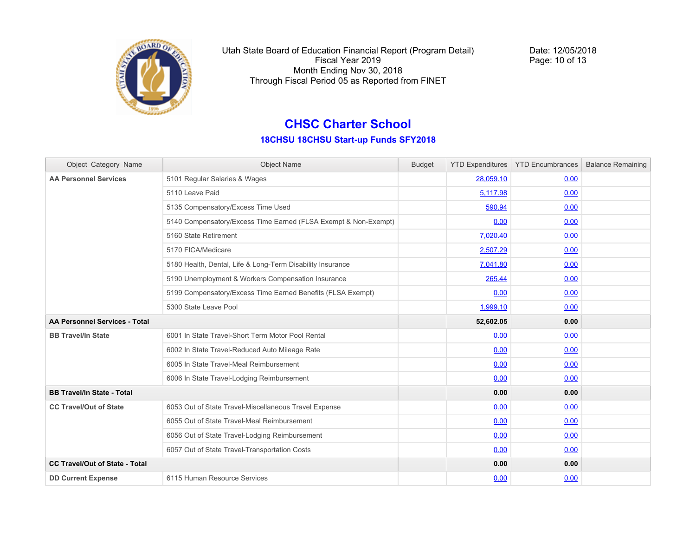

Date: 12/05/2018 Page: 10 of 13

### **CHSC Charter School**

#### **18CHSU 18CHSU Start-up Funds SFY2018**

| Object_Category_Name                  | <b>Object Name</b>                                              | <b>Budget</b> |           | YTD Expenditures   YTD Encumbrances | <b>Balance Remaining</b> |
|---------------------------------------|-----------------------------------------------------------------|---------------|-----------|-------------------------------------|--------------------------|
| <b>AA Personnel Services</b>          | 5101 Regular Salaries & Wages                                   |               | 28,059.10 | 0.00                                |                          |
|                                       | 5110 Leave Paid                                                 |               | 5,117.98  | 0.00                                |                          |
|                                       | 5135 Compensatory/Excess Time Used                              |               | 590.94    | 0.00                                |                          |
|                                       | 5140 Compensatory/Excess Time Earned (FLSA Exempt & Non-Exempt) |               | 0.00      | 0.00                                |                          |
|                                       | 5160 State Retirement                                           |               | 7,020.40  | 0.00                                |                          |
|                                       | 5170 FICA/Medicare                                              |               | 2,507.29  | 0.00                                |                          |
|                                       | 5180 Health, Dental, Life & Long-Term Disability Insurance      |               | 7,041.80  | 0.00                                |                          |
|                                       | 5190 Unemployment & Workers Compensation Insurance              |               | 265.44    | 0.00                                |                          |
|                                       | 5199 Compensatory/Excess Time Earned Benefits (FLSA Exempt)     |               | 0.00      | 0.00                                |                          |
|                                       | 5300 State Leave Pool                                           |               | 1,999.10  | 0.00                                |                          |
| <b>AA Personnel Services - Total</b>  |                                                                 |               | 52,602.05 | 0.00                                |                          |
| <b>BB Travel/In State</b>             | 6001 In State Travel-Short Term Motor Pool Rental               |               | 0.00      | 0.00                                |                          |
|                                       | 6002 In State Travel-Reduced Auto Mileage Rate                  |               | 0.00      | 0.00                                |                          |
|                                       | 6005 In State Travel-Meal Reimbursement                         |               | 0.00      | 0.00                                |                          |
|                                       | 6006 In State Travel-Lodging Reimbursement                      |               | 0.00      | 0.00                                |                          |
| <b>BB Travel/In State - Total</b>     |                                                                 |               | 0.00      | 0.00                                |                          |
| <b>CC Travel/Out of State</b>         | 6053 Out of State Travel-Miscellaneous Travel Expense           |               | 0.00      | 0.00                                |                          |
|                                       | 6055 Out of State Travel-Meal Reimbursement                     |               | 0.00      | 0.00                                |                          |
|                                       | 6056 Out of State Travel-Lodging Reimbursement                  |               | 0.00      | 0.00                                |                          |
|                                       | 6057 Out of State Travel-Transportation Costs                   |               | 0.00      | 0.00                                |                          |
| <b>CC Travel/Out of State - Total</b> |                                                                 |               | 0.00      | 0.00                                |                          |
| <b>DD Current Expense</b>             | 6115 Human Resource Services                                    |               | 0.00      | 0.00                                |                          |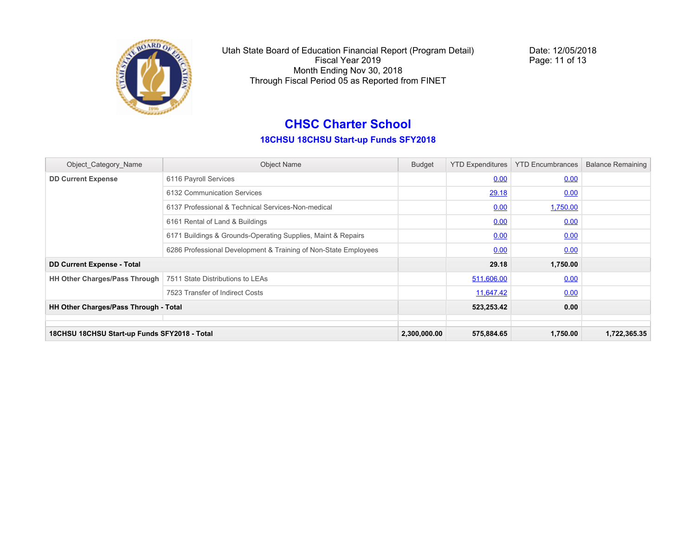

Date: 12/05/2018 Page: 11 of 13

# **CHSC Charter School**

#### **18CHSU 18CHSU Start-up Funds SFY2018**

| Object_Category_Name                         | <b>Object Name</b>                                              | <b>Budget</b> | <b>YTD Expenditures</b> | <b>YTD Encumbrances</b> | <b>Balance Remaining</b> |
|----------------------------------------------|-----------------------------------------------------------------|---------------|-------------------------|-------------------------|--------------------------|
| <b>DD Current Expense</b>                    | 6116 Payroll Services                                           |               | 0.00                    | 0.00                    |                          |
|                                              | 6132 Communication Services                                     |               | 29.18                   | 0.00                    |                          |
|                                              | 6137 Professional & Technical Services-Non-medical              |               | 0.00                    | 1,750.00                |                          |
|                                              | 6161 Rental of Land & Buildings                                 |               | 0.00                    | 0.00                    |                          |
|                                              | 6171 Buildings & Grounds-Operating Supplies, Maint & Repairs    |               | 0.00                    | 0.00                    |                          |
|                                              | 6286 Professional Development & Training of Non-State Employees |               | 0.00                    | 0.00                    |                          |
| <b>DD Current Expense - Total</b>            |                                                                 |               | 29.18                   | 1,750.00                |                          |
| <b>HH Other Charges/Pass Through</b>         | 7511 State Distributions to LEAs                                |               | 511,606.00              | 0.00                    |                          |
|                                              | 7523 Transfer of Indirect Costs                                 |               | 11,647.42               | 0.00                    |                          |
| HH Other Charges/Pass Through - Total        |                                                                 |               | 523,253.42              | 0.00                    |                          |
|                                              |                                                                 |               |                         |                         |                          |
| 18CHSU 18CHSU Start-up Funds SFY2018 - Total |                                                                 | 2,300,000.00  | 575,884.65              | 1,750.00                | 1,722,365.35             |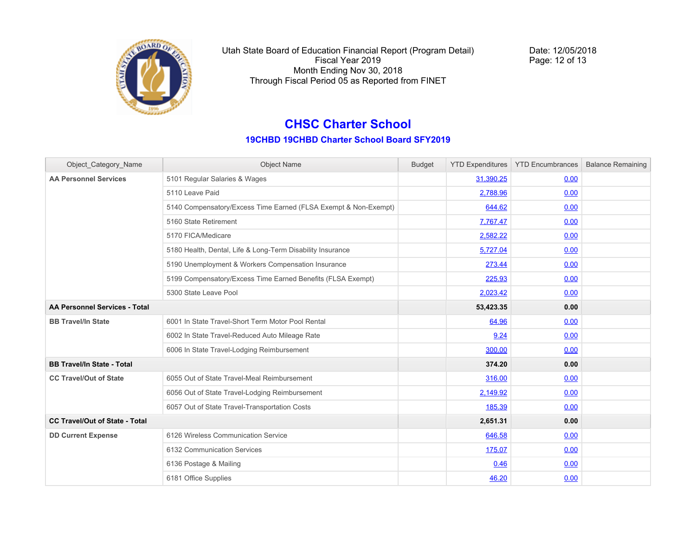

Date: 12/05/2018 Page: 12 of 13

### **CHSC Charter School**

**19CHBD 19CHBD Charter School Board SFY2019**

| Object Category Name                  | <b>Object Name</b>                                              | <b>Budget</b> |           | <b>YTD Expenditures</b>   <b>YTD Encumbrances</b> | <b>Balance Remaining</b> |
|---------------------------------------|-----------------------------------------------------------------|---------------|-----------|---------------------------------------------------|--------------------------|
| <b>AA Personnel Services</b>          | 5101 Regular Salaries & Wages                                   |               | 31,390.25 | 0.00                                              |                          |
|                                       | 5110 Leave Paid                                                 |               | 2,788.96  | 0.00                                              |                          |
|                                       | 5140 Compensatory/Excess Time Earned (FLSA Exempt & Non-Exempt) |               | 644.62    | 0.00                                              |                          |
|                                       | 5160 State Retirement                                           |               | 7,767.47  | 0.00                                              |                          |
|                                       | 5170 FICA/Medicare                                              |               | 2,582.22  | 0.00                                              |                          |
|                                       | 5180 Health, Dental, Life & Long-Term Disability Insurance      |               | 5,727.04  | 0.00                                              |                          |
|                                       | 5190 Unemployment & Workers Compensation Insurance              |               | 273.44    | 0.00                                              |                          |
|                                       | 5199 Compensatory/Excess Time Earned Benefits (FLSA Exempt)     |               | 225.93    | 0.00                                              |                          |
|                                       | 5300 State Leave Pool                                           |               | 2,023.42  | 0.00                                              |                          |
| AA Personnel Services - Total         |                                                                 |               | 53,423.35 | 0.00                                              |                          |
| <b>BB Travel/In State</b>             | 6001 In State Travel-Short Term Motor Pool Rental               |               | 64.96     | 0.00                                              |                          |
|                                       | 6002 In State Travel-Reduced Auto Mileage Rate                  |               | 9.24      | 0.00                                              |                          |
|                                       | 6006 In State Travel-Lodging Reimbursement                      |               | 300.00    | 0.00                                              |                          |
| <b>BB Travel/In State - Total</b>     |                                                                 |               | 374.20    | 0.00                                              |                          |
| <b>CC Travel/Out of State</b>         | 6055 Out of State Travel-Meal Reimbursement                     |               | 316.00    | 0.00                                              |                          |
|                                       | 6056 Out of State Travel-Lodging Reimbursement                  |               | 2,149.92  | 0.00                                              |                          |
|                                       | 6057 Out of State Travel-Transportation Costs                   |               | 185.39    | 0.00                                              |                          |
| <b>CC Travel/Out of State - Total</b> |                                                                 |               | 2,651.31  | 0.00                                              |                          |
| <b>DD Current Expense</b>             | 6126 Wireless Communication Service                             |               | 646.58    | 0.00                                              |                          |
|                                       | 6132 Communication Services                                     |               | 175.07    | 0.00                                              |                          |
|                                       | 6136 Postage & Mailing                                          |               | 0.46      | 0.00                                              |                          |
|                                       | 6181 Office Supplies                                            |               | 46.20     | 0.00                                              |                          |